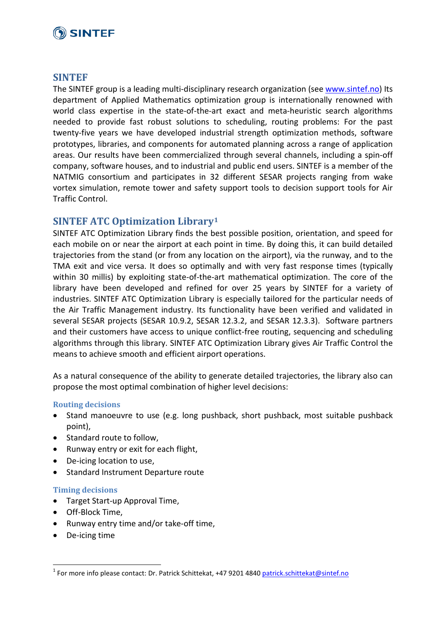## **O SINTEF**

## **SINTEF**

The SINTEF group is a leading multi-disciplinary research organization (see [www.sintef.no\)](http://www.sintef.no/) Its department of Applied Mathematics optimization group is internationally renowned with world class expertise in the state-of-the-art exact and meta-heuristic search algorithms needed to provide fast robust solutions to scheduling, routing problems: For the past twenty-five years we have developed industrial strength optimization methods, software prototypes, libraries, and components for automated planning across a range of application areas. Our results have been commercialized through several channels, including a spin-off company, software houses, and to industrial and public end users. SINTEF is a member of the NATMIG consortium and participates in 32 different SESAR projects ranging from wake vortex simulation, remote tower and safety support tools to decision support tools for Air Traffic Control.

## **SINTEF ATC Optimization Library[1](#page-0-0)**

SINTEF ATC Optimization Library finds the best possible position, orientation, and speed for each mobile on or near the airport at each point in time. By doing this, it can build detailed trajectories from the stand (or from any location on the airport), via the runway, and to the TMA exit and vice versa. It does so optimally and with very fast response times (typically within 30 millis) by exploiting state-of-the-art mathematical optimization. The core of the library have been developed and refined for over 25 years by SINTEF for a variety of industries. SINTEF ATC Optimization Library is especially tailored for the particular needs of the Air Traffic Management industry. Its functionality have been verified and validated in several SESAR projects (SESAR 10.9.2, SESAR 12.3.2, and SESAR 12.3.3). Software partners and their customers have access to unique conflict-free routing, sequencing and scheduling algorithms through this library. SINTEF ATC Optimization Library gives Air Traffic Control the means to achieve smooth and efficient airport operations.

As a natural consequence of the ability to generate detailed trajectories, the library also can propose the most optimal combination of higher level decisions:

#### **Routing decisions**

- Stand manoeuvre to use (e.g. long pushback, short pushback, most suitable pushback point),
- Standard route to follow,
- Runway entry or exit for each flight,
- De-icing location to use,
- Standard Instrument Departure route

#### **Timing decisions**

- Target Start-up Approval Time,
- Off-Block Time,
- Runway entry time and/or take-off time,
- De-icing time

<span id="page-0-0"></span><sup>&</sup>lt;sup>1</sup> For more info please contact: Dr. Patrick Schittekat, +47 9201 4840 [patrick.schittekat@sintef.no](mailto:patrick.schittekat@sintef.no)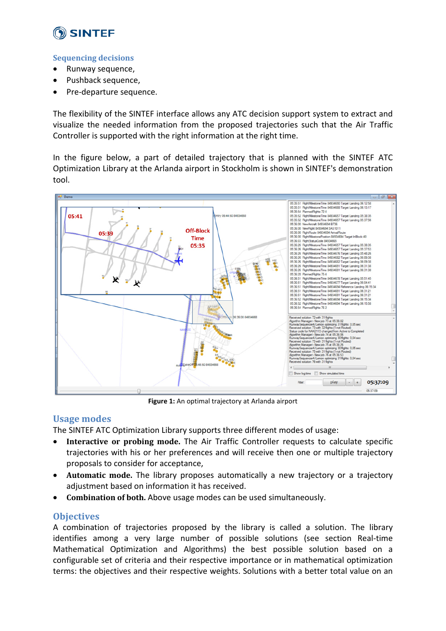

### **Sequencing decisions**

- Runway sequence,
- Pushback sequence,
- Pre-departure sequence.

The flexibility of the SINTEF interface allows any ATC decision support system to extract and visualize the needed information from the proposed trajectories such that the Air Traffic Controller is supported with the right information at the right time.

In the figure below, a part of detailed trajectory that is planned with the SINTEF ATC Optimization Library at the Arlanda airport in Stockholm is shown in SINTEF's demonstration tool.



**Figure 1:** An optimal trajectory at Arlanda airport

## **Usage modes**

The SINTEF ATC Optimization Library supports three different modes of usage:

- **Interactive or probing mode.** The Air Traffic Controller requests to calculate specific trajectories with his or her preferences and will receive then one or multiple trajectory proposals to consider for acceptance,
- **Automatic mode.** The library proposes automatically a new trajectory or a trajectory adjustment based on information it has received.
- **Combination of both.** Above usage modes can be used simultaneously.

## **Objectives**

A combination of trajectories proposed by the library is called a solution. The library identifies among a very large number of possible solutions (see section Real-time Mathematical Optimization and Algorithms) the best possible solution based on a configurable set of criteria and their respective importance or in mathematical optimization terms: the objectives and their respective weights. Solutions with a better total value on an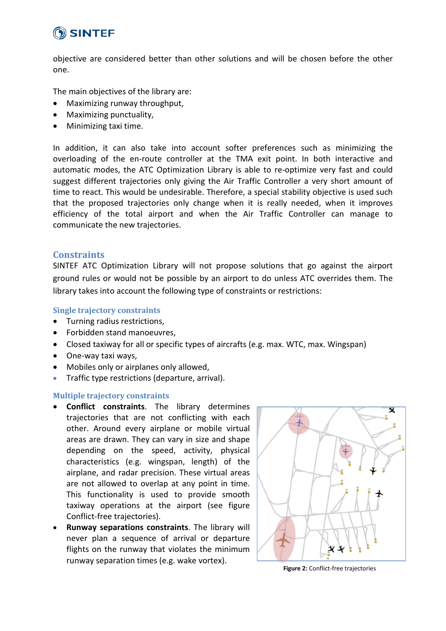

objective are considered better than other solutions and will be chosen before the other one.

The main objectives of the library are:

- Maximizing runway throughput,
- Maximizing punctuality,
- Minimizing taxi time.

In addition, it can also take into account softer preferences such as minimizing the overloading of the en-route controller at the TMA exit point. In both interactive and automatic modes, the ATC Optimization Library is able to re-optimize very fast and could suggest different trajectories only giving the Air Traffic Controller a very short amount of time to react. This would be undesirable. Therefore, a special stability objective is used such that the proposed trajectories only change when it is really needed, when it improves efficiency of the total airport and when the Air Traffic Controller can manage to communicate the new trajectories.

#### **Constraints**

SINTEF ATC Optimization Library will not propose solutions that go against the airport ground rules or would not be possible by an airport to do unless ATC overrides them. The library takes into account the following type of constraints or restrictions:

#### **Single trajectory constraints**

- Turning radius restrictions,
- Forbidden stand manoeuvres,
- Closed taxiway for all or specific types of aircrafts (e.g. max. WTC, max. Wingspan)
- One-way taxi ways,
- Mobiles only or airplanes only allowed,
- Traffic type restrictions (departure, arrival).

#### **Multiple trajectory constraints**

- **Conflict constraints**. The library determines trajectories that are not conflicting with each other. Around every airplane or mobile virtual areas are drawn. They can vary in size and shape depending on the speed, activity, physical characteristics (e.g. wingspan, length) of the airplane, and radar precision. These virtual areas are not allowed to overlap at any point in time. This functionality is used to provide smooth taxiway operations at the airport (see figure Conflict-free trajectories).
- **Runway separations constraints**. The library will never plan a sequence of arrival or departure flights on the runway that violates the minimum runway separation times (e.g. wake vortex).



**Figure 2:** Conflict-free trajectories